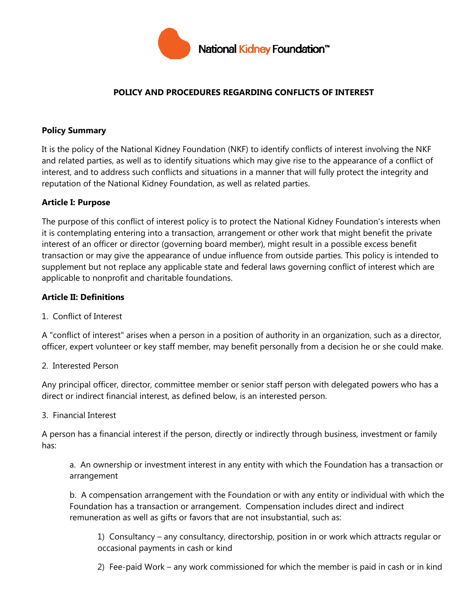

## **POLICY AND PROCEDURES REGARDING CONFLICTS OF INTEREST**

### **Policy Summary**

It is the policy of the National Kidney Foundation (NKF) to identify conflicts of interest involving the NKF and related parties, as well as to identify situations which may give rise to the appearance of a conflict of interest, and to address such conflicts and situations in a manner that will fully protect the integrity and reputation of the National Kidney Foundation, as well as related parties.

### **Article I: Purpose**

The purpose of this conflict of interest policy is to protect the National Kidney Foundation's interests when it is contemplating entering into a transaction, arrangement or other work that might benefit the private interest of an officer or director (governing board member), might result in a possible excess benefit transaction or may give the appearance of undue influence from outside parties. This policy is intended to supplement but not replace any applicable state and federal laws governing conflict of interest which are applicable to nonprofit and charitable foundations.

### **Article II: Definitions**

1. Conflict of Interest

A "conflict of interest" arises when a person in a position of authority in an organization, such as a director, officer, expert volunteer or key staff member, may benefit personally from a decision he or she could make.

#### 2. Interested Person

Any principal officer, director, committee member or senior staff person with delegated powers who has a direct or indirect financial interest, as defined below, is an interested person.

#### 3. Financial Interest

A person has a financial interest if the person, directly or indirectly through business, investment or family has:

a. An ownership or investment interest in any entity with which the Foundation has a transaction or arrangement

b. A compensation arrangement with the Foundation or with any entity or individual with which the Foundation has a transaction or arrangement. Compensation includes direct and indirect remuneration as well as gifts or favors that are not insubstantial, such as:

1) Consultancy – any consultancy, directorship, position in or work which attracts regular or occasional payments in cash or kind

2) Fee-paid Work – any work commissioned for which the member is paid in cash or in kind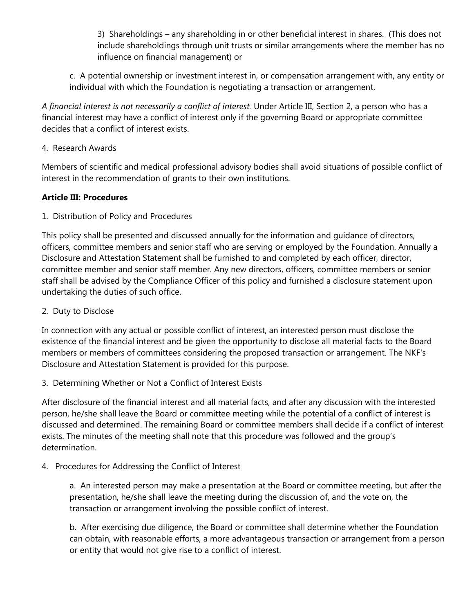3) Shareholdings – any shareholding in or other beneficial interest in shares. (This does not include shareholdings through unit trusts or similar arrangements where the member has no influence on financial management) or

c. A potential ownership or investment interest in, or compensation arrangement with, any entity or individual with which the Foundation is negotiating a transaction or arrangement.

*A financial interest is not necessarily a conflict of interest.* Under Article III, Section 2, a person who has a financial interest may have a conflict of interest only if the governing Board or appropriate committee decides that a conflict of interest exists.

4. Research Awards

Members of scientific and medical professional advisory bodies shall avoid situations of possible conflict of interest in the recommendation of grants to their own institutions.

## **Article III: Procedures**

1. Distribution of Policy and Procedures

This policy shall be presented and discussed annually for the information and guidance of directors, officers, committee members and senior staff who are serving or employed by the Foundation. Annually a Disclosure and Attestation Statement shall be furnished to and completed by each officer, director, committee member and senior staff member. Any new directors, officers, committee members or senior staff shall be advised by the Compliance Officer of this policy and furnished a disclosure statement upon undertaking the duties of such office.

2. Duty to Disclose

In connection with any actual or possible conflict of interest, an interested person must disclose the existence of the financial interest and be given the opportunity to disclose all material facts to the Board members or members of committees considering the proposed transaction or arrangement. The NKF's Disclosure and Attestation Statement is provided for this purpose.

3. Determining Whether or Not a Conflict of Interest Exists

After disclosure of the financial interest and all material facts, and after any discussion with the interested person, he/she shall leave the Board or committee meeting while the potential of a conflict of interest is discussed and determined. The remaining Board or committee members shall decide if a conflict of interest exists. The minutes of the meeting shall note that this procedure was followed and the group's determination.

4. Procedures for Addressing the Conflict of Interest

a. An interested person may make a presentation at the Board or committee meeting, but after the presentation, he/she shall leave the meeting during the discussion of, and the vote on, the transaction or arrangement involving the possible conflict of interest.

b. After exercising due diligence, the Board or committee shall determine whether the Foundation can obtain, with reasonable efforts, a more advantageous transaction or arrangement from a person or entity that would not give rise to a conflict of interest.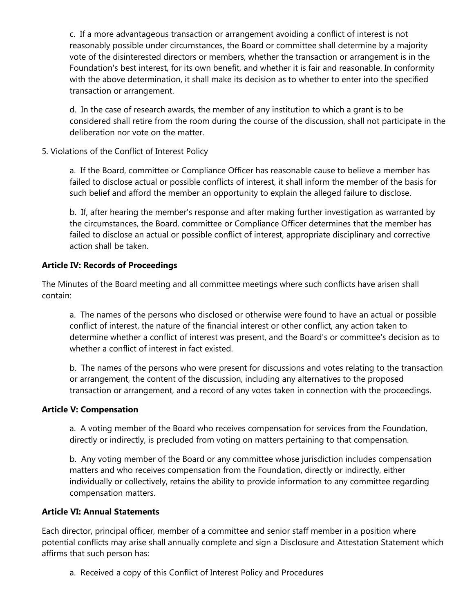c. If a more advantageous transaction or arrangement avoiding a conflict of interest is not reasonably possible under circumstances, the Board or committee shall determine by a majority vote of the disinterested directors or members, whether the transaction or arrangement is in the Foundation's best interest, for its own benefit, and whether it is fair and reasonable. In conformity with the above determination, it shall make its decision as to whether to enter into the specified transaction or arrangement.

d. In the case of research awards, the member of any institution to which a grant is to be considered shall retire from the room during the course of the discussion, shall not participate in the deliberation nor vote on the matter.

5. Violations of the Conflict of Interest Policy

a. If the Board, committee or Compliance Officer has reasonable cause to believe a member has failed to disclose actual or possible conflicts of interest, it shall inform the member of the basis for such belief and afford the member an opportunity to explain the alleged failure to disclose.

b. If, after hearing the member's response and after making further investigation as warranted by the circumstances, the Board, committee or Compliance Officer determines that the member has failed to disclose an actual or possible conflict of interest, appropriate disciplinary and corrective action shall be taken.

# **Article IV: Records of Proceedings**

The Minutes of the Board meeting and all committee meetings where such conflicts have arisen shall contain:

a. The names of the persons who disclosed or otherwise were found to have an actual or possible conflict of interest, the nature of the financial interest or other conflict, any action taken to determine whether a conflict of interest was present, and the Board's or committee's decision as to whether a conflict of interest in fact existed.

b. The names of the persons who were present for discussions and votes relating to the transaction or arrangement, the content of the discussion, including any alternatives to the proposed transaction or arrangement, and a record of any votes taken in connection with the proceedings.

## **Article V: Compensation**

a. A voting member of the Board who receives compensation for services from the Foundation, directly or indirectly, is precluded from voting on matters pertaining to that compensation.

b. Any voting member of the Board or any committee whose jurisdiction includes compensation matters and who receives compensation from the Foundation, directly or indirectly, either individually or collectively, retains the ability to provide information to any committee regarding compensation matters.

## **Article VI: Annual Statements**

Each director, principal officer, member of a committee and senior staff member in a position where potential conflicts may arise shall annually complete and sign a Disclosure and Attestation Statement which affirms that such person has:

a. Received a copy of this Conflict of Interest Policy and Procedures